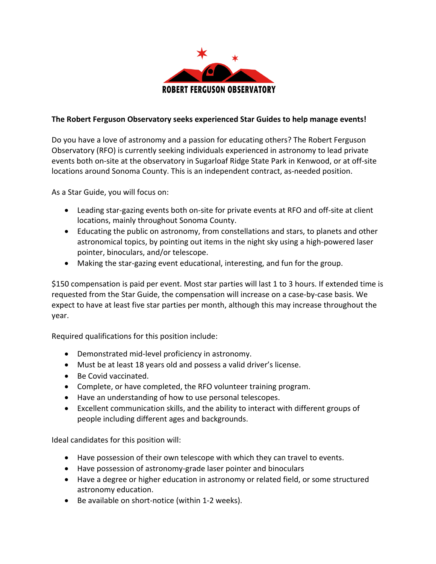

## **The Robert Ferguson Observatory seeks experienced Star Guides to help manage events!**

Do you have a love of astronomy and a passion for educating others? The Robert Ferguson Observatory (RFO) is currently seeking individuals experienced in astronomy to lead private events both on-site at the observatory in Sugarloaf Ridge State Park in Kenwood, or at off-site locations around Sonoma County. This is an independent contract, as-needed position.

As a Star Guide, you will focus on:

- Leading star-gazing events both on-site for private events at RFO and off-site at client locations, mainly throughout Sonoma County.
- Educating the public on astronomy, from constellations and stars, to planets and other astronomical topics, by pointing out items in the night sky using a high-powered laser pointer, binoculars, and/or telescope.
- Making the star-gazing event educational, interesting, and fun for the group.

\$150 compensation is paid per event. Most star parties will last 1 to 3 hours. If extended time is requested from the Star Guide, the compensation will increase on a case-by-case basis. We expect to have at least five star parties per month, although this may increase throughout the year.

Required qualifications for this position include:

- Demonstrated mid-level proficiency in astronomy.
- Must be at least 18 years old and possess a valid driver's license.
- Be Covid vaccinated.
- Complete, or have completed, the RFO volunteer training program.
- Have an understanding of how to use personal telescopes.
- Excellent communication skills, and the ability to interact with different groups of people including different ages and backgrounds.

Ideal candidates for this position will:

- Have possession of their own telescope with which they can travel to events.
- Have possession of astronomy-grade laser pointer and binoculars
- Have a degree or higher education in astronomy or related field, or some structured astronomy education.
- Be available on short-notice (within 1-2 weeks).